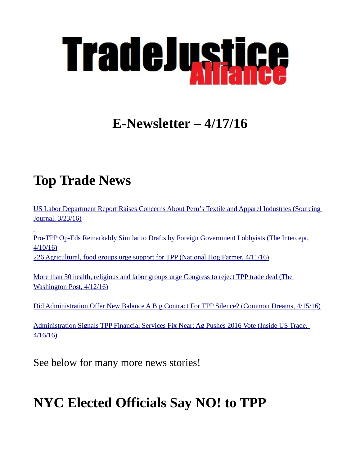

# **E-Newsletter – 4/17/16**

# **Top Trade News**

[US Labor Department Report Raises Concerns About Peru's Textile and Apparel Industries \(Sourcing](https://sourcingjournalonline.com/u-s-labor-department-report-raises-concerns-about-perus-textile-and-apparel-industries/)  [Journal, 3/23/16\)](https://sourcingjournalonline.com/u-s-labor-department-report-raises-concerns-about-perus-textile-and-apparel-industries/)

[Pro-TPP Op-Eds Remarkably Similar to Drafts by Foreign Government Lobbyists \(The Intercept,](https://theintercept.com/2016/04/10/tpp-lobbyist-opeds/)  [4/10/16\)](https://theintercept.com/2016/04/10/tpp-lobbyist-opeds/) [226 Agricultural, food groups urge support for TPP \(National Hog Farmer, 4/11/16\)](http://nationalhogfarmer.com/marketing/agricultural-food-groups-urge-support-tpp?NL=NHF-01&Issue=NHF-01_20160411_NHF-01_371&sfvc4enews=42&cl=article_4_b&utm_rid=CPG02000001750945&utm_campaign=9198&utm_medium=email&elq2=affa3e66ca2341a4b7811e3fce7f411a)

[More than 50 health, religious and labor groups urge Congress to reject TPP trade deal \(The](https://www.washingtonpost.com/news/powerpost/wp/2016/04/12/more-than-50-health-religious-and-labor-groups-urge-congress-to-reject-tpp-trade-deal/)  [Washington Post, 4/12/16\)](https://www.washingtonpost.com/news/powerpost/wp/2016/04/12/more-than-50-health-religious-and-labor-groups-urge-congress-to-reject-tpp-trade-deal/)

[Did Administration Offer New Balance A Big Contract For TPP Silence? \(Common Dreams, 4/15/16\)](http://www.commondreams.org/views/2016/04/15/did-administration-offer-new-balance-big-contract-tpp-silence)

[Administration Signals TPP Financial Services Fix Near; Ag Pushes 2016 Vote \(Inside US Trade,](http://tradejustice.net/?page=IUSTServicesFix)  [4/16/16\)](http://tradejustice.net/?page=IUSTServicesFix)

See below for many more news stories!

# **NYC Elected Officials Say NO! to TPP**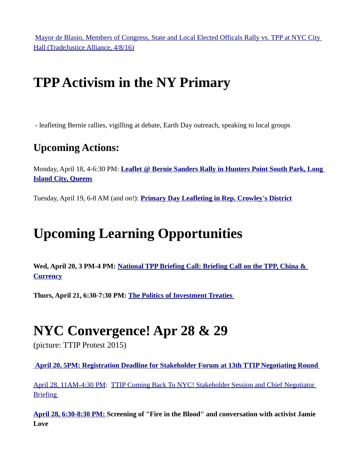[Mayor de Blasio, Members of Congress, State and Local Elected Officals Rally vs. TPP at NYC City](http://tradejustice.net/?page=deBlasioPresser)  [Hall \(TradeJustice Alliance, 4/8/16\)](http://tradejustice.net/?page=deBlasioPresser)

# **TPP Activism in the NY Primary**

- leafleting Bernie rallies, vigilling at debate, Earth Day outreach, speaking to local groups

#### **Upcoming Actions:**

Monday, April 18, 4-6:30 PM: **[Leaflet @ Bernie Sanders Rally in Hunters Point South Park, Long](http://tradejustice.us12.list-manage2.com/track/click?u=b11d7176c45130023f09d790c&id=4ca6419e2f&e=5507c2760e)  [Island City, Queens](http://tradejustice.us12.list-manage2.com/track/click?u=b11d7176c45130023f09d790c&id=4ca6419e2f&e=5507c2760e)**

Tuesday, April 19, 6-8 AM (and on!): **[Primary Day Leafleting in Rep. Crowley's District](http://tradejustice.us12.list-manage.com/track/click?u=b11d7176c45130023f09d790c&id=d235fb1381&e=5507c2760e)**

# **Upcoming Learning Opportunities**

**Wed, April 20, 3 PM-4 PM: [National TPP Briefing Call: Briefing Call on the TPP, China &](https://www.facebook.com/events/845144998946823/)  [Currency](https://www.facebook.com/events/845144998946823/)**

**Thurs, April 21, 6:30-7:30 PM: [The Politics of Investment Treaties](https://www.facebook.com/events/845144998946823/)** 

## **NYC Convergence! Apr 28 & 29**

(picture: TTIP Protest 2015)

 **[April 20, 5PM: Registration Deadline for Stakeholder Forum at 13th TTIP Negotiating Round](http://tradejustice.us12.list-manage1.com/track/click?u=b11d7176c45130023f09d790c&id=9d9a5d4d12&e=5507c2760e)** 

[April 28, 11AM-4:30 PM:](https://ustr.gov/ttip/ttip-round-information) [TTIP Coming Back To NYC! Stakeholder Session and Chief Negotiator](https://ustr.gov/ttip/ttip-round-information)  **Briefing** 

**[April 28, 6:30-8:30 PM: S](http://tradejustice.us12.list-manage.com/track/click?u=b11d7176c45130023f09d790c&id=2e26a992e9&e=5507c2760e)creening of "Fire in the Blood" and conversation with activist Jamie Love**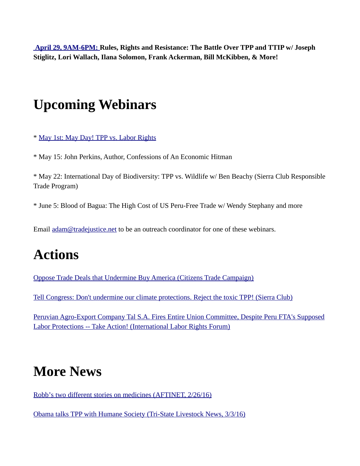**[April 29, 9AM-6PM: R](http://tradejustice.us12.list-manage.com/track/click?u=b11d7176c45130023f09d790c&id=137cc40eee&e=5507c2760e)ules, Rights and Resistance: The Battle Over TPP and TTIP w/ Joseph Stiglitz, Lori Wallach, Ilana Solomon, Frank Ackerman, Bill McKibben, & More!**

### **Upcoming Webinars**

\* [May 1st: May Day! TPP vs. Labor Rights](https://www.facebook.com/events/513994832125730/)

\* May 15: John Perkins, Author, Confessions of An Economic Hitman

\* May 22: International Day of Biodiversity: TPP vs. Wildlife w/ Ben Beachy (Sierra Club Responsible Trade Program)

\* June 5: Blood of Bagua: The High Cost of US Peru-Free Trade w/ Wendy Stephany and more

Email [adam@tradejustice.net](mailto:adam@tradejustice.net) to be an outreach coordinator for one of these webinars.

## **Actions**

[Oppose Trade Deals that Undermine Buy America \(Citizens Trade Campaign\)](http://org.salsalabs.com/o/1034/p/dia/action3/common/public/?action_KEY=19512)

[Tell Congress: Don't undermine our climate protections. Reject the toxic TPP! \(Sierra Club\)](http://sierra.force.com/actions/National?actionId=AR0040887&id=70131000001Lp1FAAS&utm_campaign=addthis&utm_source=twitter&utm_medium=recruit#.VxFM-O3XnX8.twitter)

[Peruvian Agro-Export Company Tal S.A. Fires Entire Union Committee, Despite Peru FTA's Supposed](http://laborrights.org/action-center/peruvian-agro-export-company-tal-sa-fires-entire-union-committee-act-now) [Labor Protections -- Take Action! \(International Labor Rights Forum\)](http://laborrights.org/action-center/peruvian-agro-export-company-tal-sa-fires-entire-union-committee-act-now)

### **More News**

[Robb's two different stories on medicines \(AFTINET, 2/26/16\)](http://aftinet.org.au/cms/2501-robb-stories-tpp-medicines)

[Obama talks TPP with Humane Society \(Tri-State Livestock News, 3/3/16\)](http://www.tsln.com/news/20943968-113/obama-talks-tpp-with-humane-society)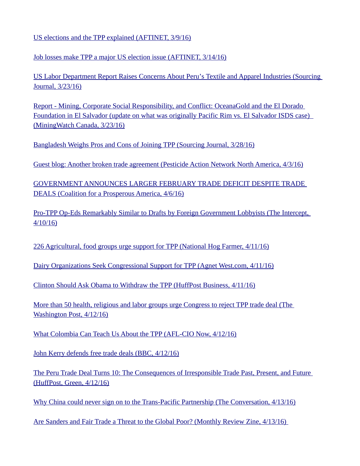[US elections and the TPP explained \(AFTINET, 3/9/16\)](http://aftinet.org.au/cms/1603-us-elections-tpp-explainer)

[Job losses make TPP a major US election issue \(AFTINET, 3/14/16\)](http://aftinet.org.au/cms/1603-job-losses-tpp-us-election)

[US Labor Department Report Raises Concerns About Peru's Textile and Apparel Industries \(Sourcing](https://sourcingjournalonline.com/u-s-labor-department-report-raises-concerns-about-perus-textile-and-apparel-industries/)  [Journal, 3/23/16\)](https://sourcingjournalonline.com/u-s-labor-department-report-raises-concerns-about-perus-textile-and-apparel-industries/)

[Report - Mining, Corporate Social Responsibility, and Conflict: OceanaGold and the El Dorado](http://miningwatch.ca/news/2016/3/23/report-mining-corporate-social-responsibility-and-conflict-oceanagold-and-el-dorado)   [Foundation in El Salvador \(update on what was originally Pacific Rim vs. El Salvador ISDS case\)](http://miningwatch.ca/news/2016/3/23/report-mining-corporate-social-responsibility-and-conflict-oceanagold-and-el-dorado)  [\(MiningWatch Canada, 3/23/16\)](http://miningwatch.ca/news/2016/3/23/report-mining-corporate-social-responsibility-and-conflict-oceanagold-and-el-dorado)

[Bangladesh Weighs Pros and Cons of Joining TPP \(Sourcing Journal, 3/28/16\)](https://sourcingjournalonline.com/bangladesh-weighs-pros-cons-joining-tpp/)

[Guest blog: Another broken trade agreement \(Pesticide Action Network North America, 4/3/16\)](http://www.panna.org/blog/guest-blog-another-broken-trade-agreement?utm_source=groundtruth&utm_medium=alert&utm_campaign=gt-04-07)

[GOVERNMENT ANNOUNCES LARGER FEBRUARY TRADE DEFICIT DESPITE TRADE](http://www.prosperousamerica.org/government_announces_larger_february_trade_deficit_despite_trade_deals)  [DEALS \(Coalition for a Prosperous America, 4/6/16\)](http://www.prosperousamerica.org/government_announces_larger_february_trade_deficit_despite_trade_deals)

[Pro-TPP Op-Eds Remarkably Similar to Drafts by Foreign Government Lobbyists \(The Intercept,](https://theintercept.com/2016/04/10/tpp-lobbyist-opeds/)  [4/10/16\)](https://theintercept.com/2016/04/10/tpp-lobbyist-opeds/)

[226 Agricultural, food groups urge support for TPP \(National Hog Farmer, 4/11/16\)](http://nationalhogfarmer.com/marketing/agricultural-food-groups-urge-support-tpp?NL=NHF-01&Issue=NHF-01_20160411_NHF-01_371&sfvc4enews=42&cl=article_4_b&utm_rid=CPG02000001750945&utm_campaign=9198&utm_medium=email&elq2=affa3e66ca2341a4b7811e3fce7f411a)

[Dairy Organizations Seek Congressional Support for TPP \(Agnet West.com, 4/11/16\)](http://agnetwest.com/2016/04/11/dairy-organizations-seek-congressional-support-tpp/)

[Clinton Should Ask Obama to Withdraw the TPP \(HuffPost Business, 4/11/16\)](http://www.huffingtonpost.com/dave-johnson/clinton-should-ask-obama_b_9664396.html)

[More than 50 health, religious and labor groups urge Congress to reject TPP trade deal \(The](https://www.washingtonpost.com/news/powerpost/wp/2016/04/12/more-than-50-health-religious-and-labor-groups-urge-congress-to-reject-tpp-trade-deal/)  [Washington Post, 4/12/16\)](https://www.washingtonpost.com/news/powerpost/wp/2016/04/12/more-than-50-health-religious-and-labor-groups-urge-congress-to-reject-tpp-trade-deal/)

[What Colombia Can Teach Us About the TPP \(AFL-CIO Now, 4/12/16\)](http://www.aflcio.org/Blog/Global-Action/What-Colombia-Can-Teach-Us-About-the-TPP)

[John Kerry defends free trade deals \(BBC, 4/12/16\)](http://www.bbc.com/news/world-us-canada-36031313)

[The Peru Trade Deal Turns 10: The Consequences of Irresponsible Trade Past, Present, and Future](http://www.huffingtonpost.com/ilana-solomon/the-peru-trade-deal-turns_b_9671120.html)  [\(HuffPost, Green, 4/12/16\)](http://www.huffingtonpost.com/ilana-solomon/the-peru-trade-deal-turns_b_9671120.html)

[Why China could never sign on to the Trans-Pacific Partnership \(The Conversation, 4/13/16\)](http://theconversation.com/why-china-could-never-sign-on-to-the-trans-pacific-partnership-56361)

[Are Sanders and Fair Trade a Threat to the Global Poor? \(Monthly Review Zine, 4/13/16\)](http://mrzine.monthlyreview.org/2016/wilson130416.html)